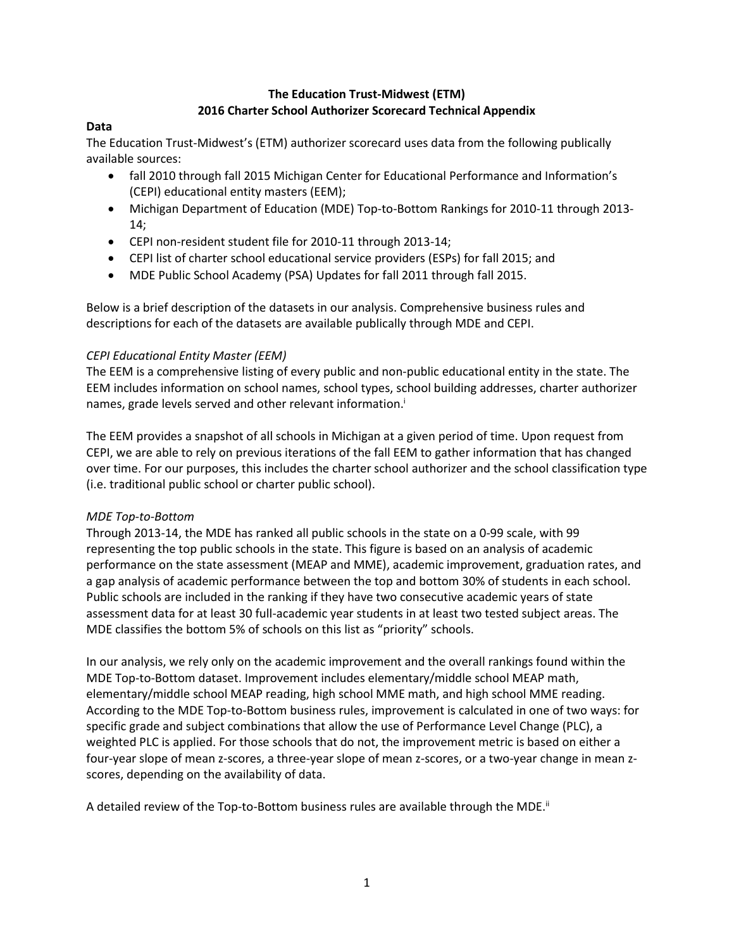# **The Education Trust-Midwest (ETM) 2016 Charter School Authorizer Scorecard Technical Appendix**

# **Data**

The Education Trust-Midwest's (ETM) authorizer scorecard uses data from the following publically available sources:

- fall 2010 through fall 2015 Michigan Center for Educational Performance and Information's (CEPI) educational entity masters (EEM);
- Michigan Department of Education (MDE) Top-to-Bottom Rankings for 2010-11 through 2013- 14;
- CEPI non-resident student file for 2010-11 through 2013-14;
- CEPI list of charter school educational service providers (ESPs) for fall 2015; and
- MDE Public School Academy (PSA) Updates for fall 2011 through fall 2015.

Below is a brief description of the datasets in our analysis. Comprehensive business rules and descriptions for each of the datasets are available publically through MDE and CEPI.

## *CEPI Educational Entity Master (EEM)*

The EEM is a comprehensive listing of every public and non-public educational entity in the state. The EEM includes information on school names, school types, school building addresses, charter authorizer names, grade levels served and other relevant information. i

The EEM provides a snapshot of all schools in Michigan at a given period of time. Upon request from CEPI, we are able to rely on previous iterations of the fall EEM to gather information that has changed over time. For our purposes, this includes the charter school authorizer and the school classification type (i.e. traditional public school or charter public school).

# *MDE Top-to-Bottom*

Through 2013-14, the MDE has ranked all public schools in the state on a 0-99 scale, with 99 representing the top public schools in the state. This figure is based on an analysis of academic performance on the state assessment (MEAP and MME), academic improvement, graduation rates, and a gap analysis of academic performance between the top and bottom 30% of students in each school. Public schools are included in the ranking if they have two consecutive academic years of state assessment data for at least 30 full-academic year students in at least two tested subject areas. The MDE classifies the bottom 5% of schools on this list as "priority" schools.

In our analysis, we rely only on the academic improvement and the overall rankings found within the MDE Top-to-Bottom dataset. Improvement includes elementary/middle school MEAP math, elementary/middle school MEAP reading, high school MME math, and high school MME reading. According to the MDE Top-to-Bottom business rules, improvement is calculated in one of two ways: for specific grade and subject combinations that allow the use of Performance Level Change (PLC), a weighted PLC is applied. For those schools that do not, the improvement metric is based on either a four-year slope of mean z-scores, a three-year slope of mean z-scores, or a two-year change in mean zscores, depending on the availability of data.

A detailed review of the Top-to-Bottom business rules are available through the MDE.<sup>ii</sup>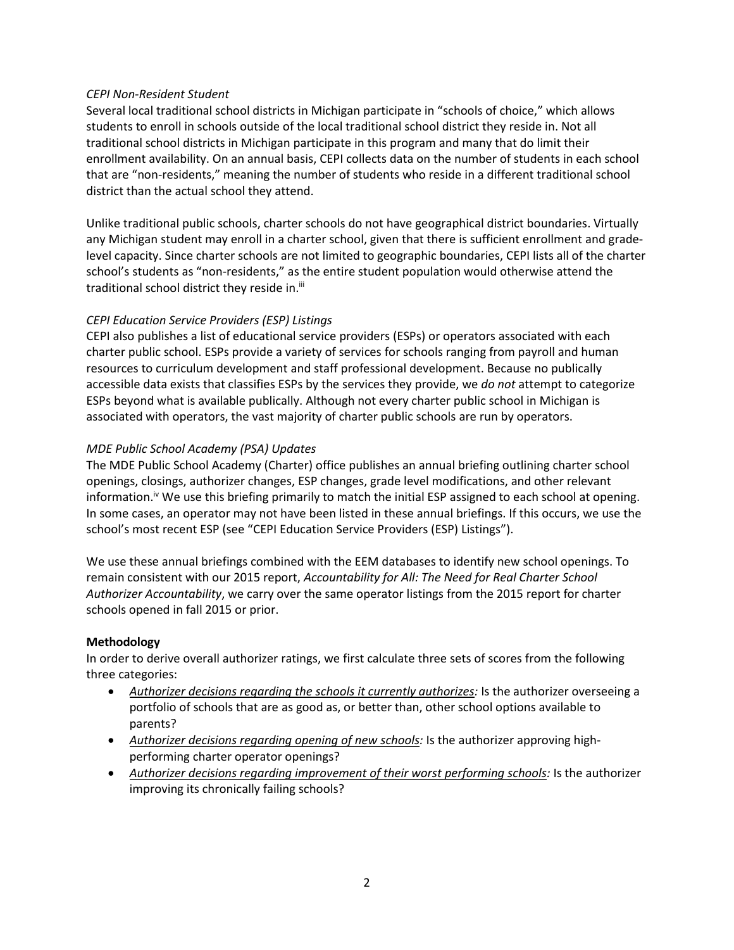### *CEPI Non-Resident Student*

Several local traditional school districts in Michigan participate in "schools of choice," which allows students to enroll in schools outside of the local traditional school district they reside in. Not all traditional school districts in Michigan participate in this program and many that do limit their enrollment availability. On an annual basis, CEPI collects data on the number of students in each school that are "non-residents," meaning the number of students who reside in a different traditional school district than the actual school they attend.

Unlike traditional public schools, charter schools do not have geographical district boundaries. Virtually any Michigan student may enroll in a charter school, given that there is sufficient enrollment and gradelevel capacity. Since charter schools are not limited to geographic boundaries, CEPI lists all of the charter school's students as "non-residents," as the entire student population would otherwise attend the traditional school district they reside in.<sup>iii</sup>

## *CEPI Education Service Providers (ESP) Listings*

CEPI also publishes a list of educational service providers (ESPs) or operators associated with each charter public school. ESPs provide a variety of services for schools ranging from payroll and human resources to curriculum development and staff professional development. Because no publically accessible data exists that classifies ESPs by the services they provide, we *do not* attempt to categorize ESPs beyond what is available publically. Although not every charter public school in Michigan is associated with operators, the vast majority of charter public schools are run by operators.

## *MDE Public School Academy (PSA) Updates*

The MDE Public School Academy (Charter) office publishes an annual briefing outlining charter school openings, closings, authorizer changes, ESP changes, grade level modifications, and other relevant information.<sup>iv</sup> We use this briefing primarily to match the initial ESP assigned to each school at opening. In some cases, an operator may not have been listed in these annual briefings. If this occurs, we use the school's most recent ESP (see "CEPI Education Service Providers (ESP) Listings").

We use these annual briefings combined with the EEM databases to identify new school openings. To remain consistent with our 2015 report, *Accountability for All: The Need for Real Charter School Authorizer Accountability*, we carry over the same operator listings from the 2015 report for charter schools opened in fall 2015 or prior.

### **Methodology**

In order to derive overall authorizer ratings, we first calculate three sets of scores from the following three categories:

- *Authorizer decisions regarding the schools it currently authorizes:* Is the authorizer overseeing a portfolio of schools that are as good as, or better than, other school options available to parents?
- *Authorizer decisions regarding opening of new schools:* Is the authorizer approving highperforming charter operator openings?
- *Authorizer decisions regarding improvement of their worst performing schools:* Is the authorizer improving its chronically failing schools?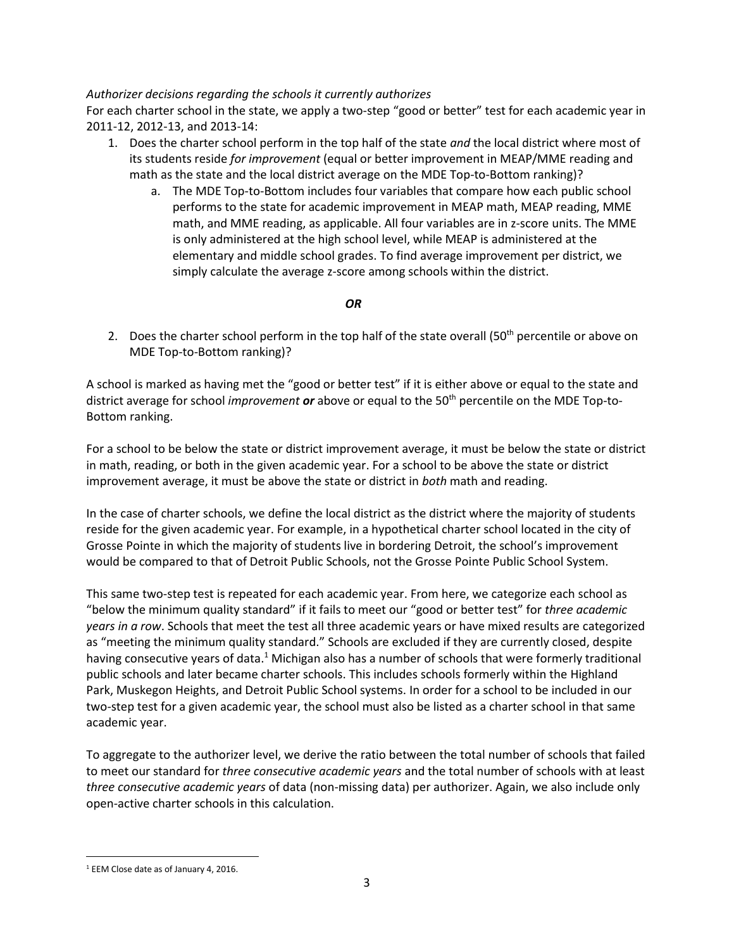### *Authorizer decisions regarding the schools it currently authorizes*

For each charter school in the state, we apply a two-step "good or better" test for each academic year in 2011-12, 2012-13, and 2013-14:

- 1. Does the charter school perform in the top half of the state *and* the local district where most of its students reside *for improvement* (equal or better improvement in MEAP/MME reading and math as the state and the local district average on the MDE Top-to-Bottom ranking)?
	- a. The MDE Top-to-Bottom includes four variables that compare how each public school performs to the state for academic improvement in MEAP math, MEAP reading, MME math, and MME reading, as applicable. All four variables are in z-score units. The MME is only administered at the high school level, while MEAP is administered at the elementary and middle school grades. To find average improvement per district, we simply calculate the average z-score among schools within the district.

## *OR*

2. Does the charter school perform in the top half of the state overall  $(50<sup>th</sup>$  percentile or above on MDE Top-to-Bottom ranking)?

A school is marked as having met the "good or better test" if it is either above or equal to the state and district average for school *improvement or* above or equal to the 50th percentile on the MDE Top-to-Bottom ranking.

For a school to be below the state or district improvement average, it must be below the state or district in math, reading, or both in the given academic year. For a school to be above the state or district improvement average, it must be above the state or district in *both* math and reading.

In the case of charter schools, we define the local district as the district where the majority of students reside for the given academic year. For example, in a hypothetical charter school located in the city of Grosse Pointe in which the majority of students live in bordering Detroit, the school's improvement would be compared to that of Detroit Public Schools, not the Grosse Pointe Public School System.

This same two-step test is repeated for each academic year. From here, we categorize each school as "below the minimum quality standard" if it fails to meet our "good or better test" for *three academic years in a row*. Schools that meet the test all three academic years or have mixed results are categorized as "meeting the minimum quality standard." Schools are excluded if they are currently closed, despite having consecutive years of data.<sup>1</sup> Michigan also has a number of schools that were formerly traditional public schools and later became charter schools. This includes schools formerly within the Highland Park, Muskegon Heights, and Detroit Public School systems. In order for a school to be included in our two-step test for a given academic year, the school must also be listed as a charter school in that same academic year.

To aggregate to the authorizer level, we derive the ratio between the total number of schools that failed to meet our standard for *three consecutive academic years* and the total number of schools with at least *three consecutive academic years* of data (non-missing data) per authorizer. Again, we also include only open-active charter schools in this calculation.

 $\overline{\phantom{a}}$ <sup>1</sup> EEM Close date as of January 4, 2016.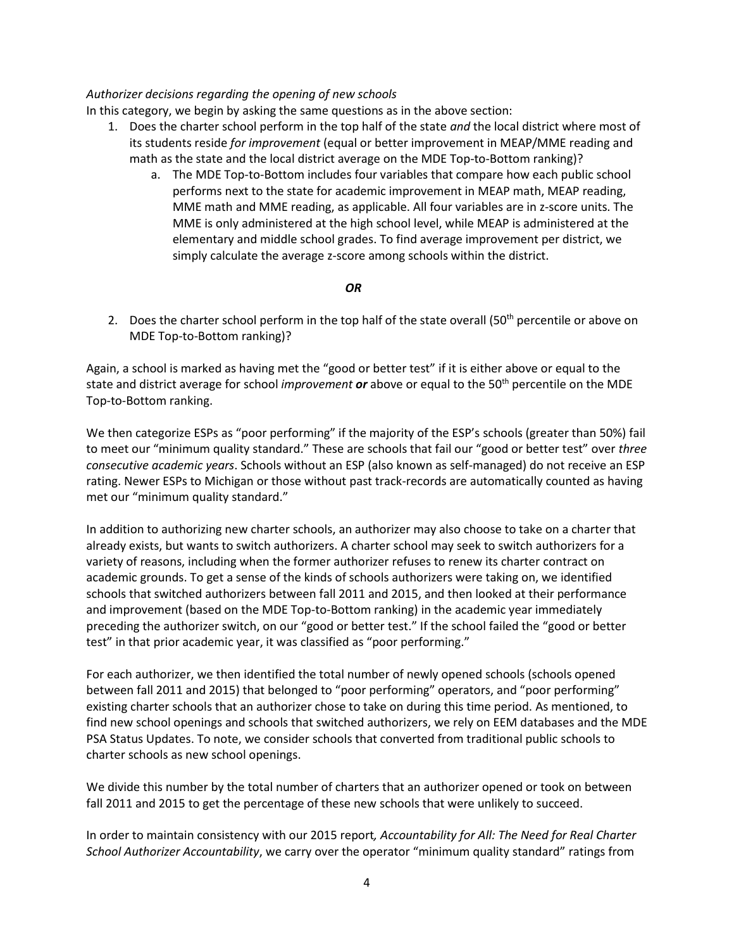#### *Authorizer decisions regarding the opening of new schools*

In this category, we begin by asking the same questions as in the above section:

- 1. Does the charter school perform in the top half of the state *and* the local district where most of its students reside *for improvement* (equal or better improvement in MEAP/MME reading and math as the state and the local district average on the MDE Top-to-Bottom ranking)?
	- a. The MDE Top-to-Bottom includes four variables that compare how each public school performs next to the state for academic improvement in MEAP math, MEAP reading, MME math and MME reading, as applicable. All four variables are in z-score units. The MME is only administered at the high school level, while MEAP is administered at the elementary and middle school grades. To find average improvement per district, we simply calculate the average z-score among schools within the district.

#### *OR*

2. Does the charter school perform in the top half of the state overall  $(50<sup>th</sup>$  percentile or above on MDE Top-to-Bottom ranking)?

Again, a school is marked as having met the "good or better test" if it is either above or equal to the state and district average for school *improvement or* above or equal to the 50th percentile on the MDE Top-to-Bottom ranking.

We then categorize ESPs as "poor performing" if the majority of the ESP's schools (greater than 50%) fail to meet our "minimum quality standard." These are schools that fail our "good or better test" over *three consecutive academic years*. Schools without an ESP (also known as self-managed) do not receive an ESP rating. Newer ESPs to Michigan or those without past track-records are automatically counted as having met our "minimum quality standard."

In addition to authorizing new charter schools, an authorizer may also choose to take on a charter that already exists, but wants to switch authorizers. A charter school may seek to switch authorizers for a variety of reasons, including when the former authorizer refuses to renew its charter contract on academic grounds. To get a sense of the kinds of schools authorizers were taking on, we identified schools that switched authorizers between fall 2011 and 2015, and then looked at their performance and improvement (based on the MDE Top-to-Bottom ranking) in the academic year immediately preceding the authorizer switch, on our "good or better test." If the school failed the "good or better test" in that prior academic year, it was classified as "poor performing."

For each authorizer, we then identified the total number of newly opened schools (schools opened between fall 2011 and 2015) that belonged to "poor performing" operators, and "poor performing" existing charter schools that an authorizer chose to take on during this time period. As mentioned, to find new school openings and schools that switched authorizers, we rely on EEM databases and the MDE PSA Status Updates. To note, we consider schools that converted from traditional public schools to charter schools as new school openings.

We divide this number by the total number of charters that an authorizer opened or took on between fall 2011 and 2015 to get the percentage of these new schools that were unlikely to succeed.

In order to maintain consistency with our 2015 report*, Accountability for All: The Need for Real Charter School Authorizer Accountability*, we carry over the operator "minimum quality standard" ratings from